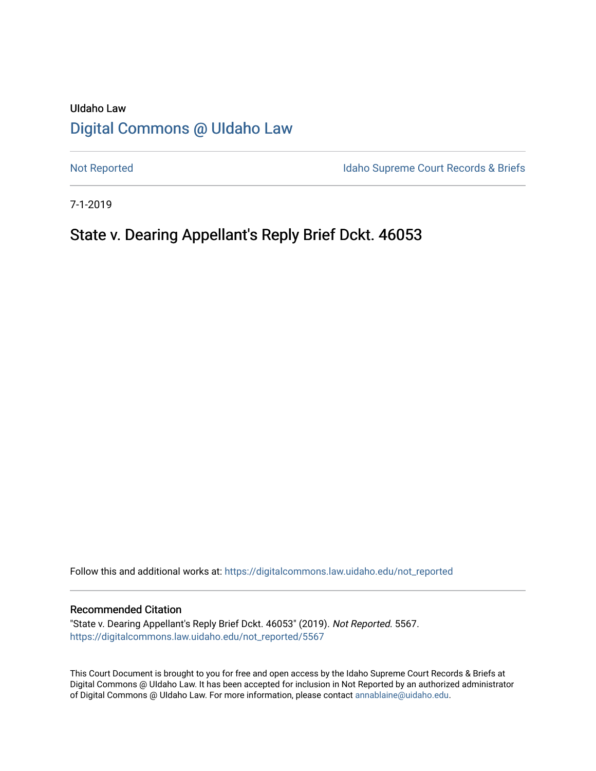# UIdaho Law [Digital Commons @ UIdaho Law](https://digitalcommons.law.uidaho.edu/)

[Not Reported](https://digitalcommons.law.uidaho.edu/not_reported) **Idaho Supreme Court Records & Briefs** 

7-1-2019

# State v. Dearing Appellant's Reply Brief Dckt. 46053

Follow this and additional works at: [https://digitalcommons.law.uidaho.edu/not\\_reported](https://digitalcommons.law.uidaho.edu/not_reported?utm_source=digitalcommons.law.uidaho.edu%2Fnot_reported%2F5567&utm_medium=PDF&utm_campaign=PDFCoverPages) 

#### Recommended Citation

"State v. Dearing Appellant's Reply Brief Dckt. 46053" (2019). Not Reported. 5567. [https://digitalcommons.law.uidaho.edu/not\\_reported/5567](https://digitalcommons.law.uidaho.edu/not_reported/5567?utm_source=digitalcommons.law.uidaho.edu%2Fnot_reported%2F5567&utm_medium=PDF&utm_campaign=PDFCoverPages)

This Court Document is brought to you for free and open access by the Idaho Supreme Court Records & Briefs at Digital Commons @ UIdaho Law. It has been accepted for inclusion in Not Reported by an authorized administrator of Digital Commons @ UIdaho Law. For more information, please contact [annablaine@uidaho.edu](mailto:annablaine@uidaho.edu).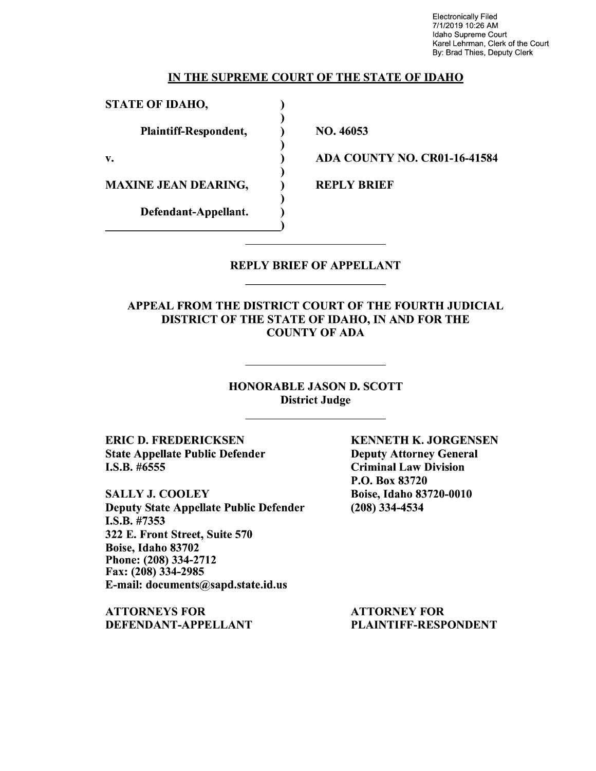Electronically Filed 7/1/2019 10:26 AM Idaho Supreme Court Karel Lehrman, Clerk of the Court By: Brad Thies, Deputy Clerk

#### IN THE SUPREME COURT OF THE STATE OF IDAHO

) ) ) ) ) ) ) ) )

STATE OF IDAHO,

Plaintiff-Respondent,

v.

MAXINE JEAN DEARING,

Defendant-Appellant.

NO. 46053

ADA COUNTY NO. CR0l-16-41584

REPLY BRIEF

#### REPLY BRIEF OF APPELLANT

APPEAL FROM THE DISTRICT COURT OF THE FOURTH JUDICIAL DISTRICT OF THE STATE OF IDAHO, IN AND FOR THE COUNTY OF ADA

> HONORABLE JASON D. SCOTT District Judge

ERIC D. FREDERICKSEN State Appellate Public Defender I.S.B. #6555

SALLY J. COOLEY Deputy State Appellate Public Defender I.S.B. #7353 322 E. Front Street, Suite 570 Boise, Idaho 83702 Phone: (208) 334-2712 Fax: (208) 334-2985 E-mail: documents@sapd.state.id.us

ATTORNEYS FOR DEFENDANT-APPELLANT KENNETH K. JORGENSEN Deputy Attorney General Criminal Law Division P.O. Box 83720 Boise, Idaho 83720-0010 (208) 334-4534

ATTORNEY FOR PLAINTIFF-RESPONDENT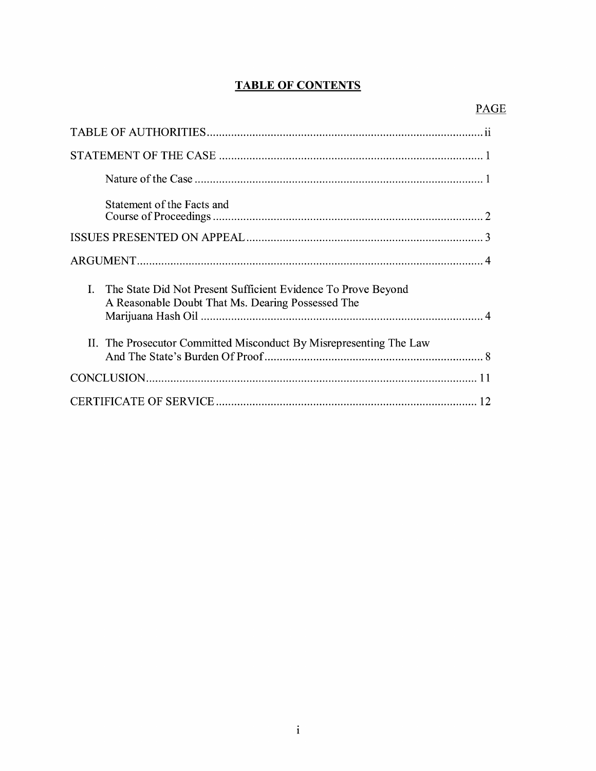# **TABLE OF CONTENTS**

| Statement of the Facts and                                                                                              |
|-------------------------------------------------------------------------------------------------------------------------|
|                                                                                                                         |
|                                                                                                                         |
| L<br>The State Did Not Present Sufficient Evidence To Prove Beyond<br>A Reasonable Doubt That Ms. Dearing Possessed The |
| II. The Prosecutor Committed Misconduct By Misrepresenting The Law                                                      |
|                                                                                                                         |
|                                                                                                                         |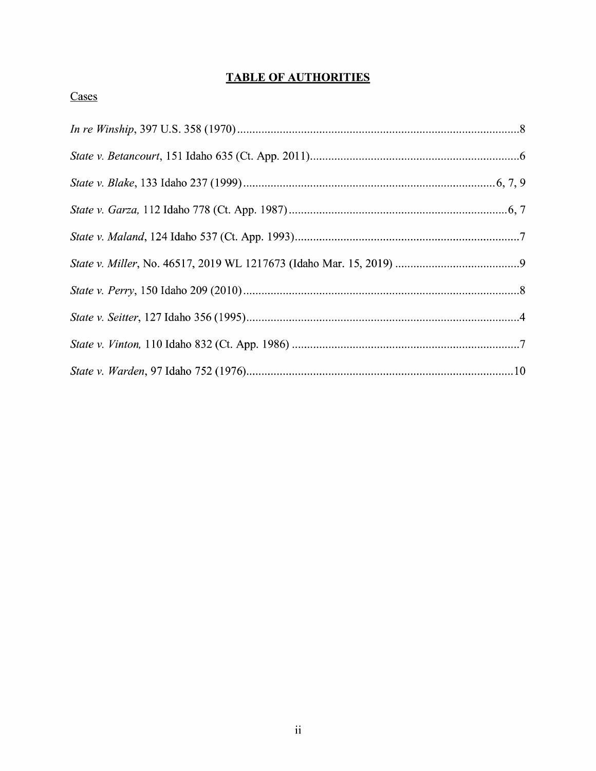# **TABLE OF AUTHORITIES**

| w |  |
|---|--|
|   |  |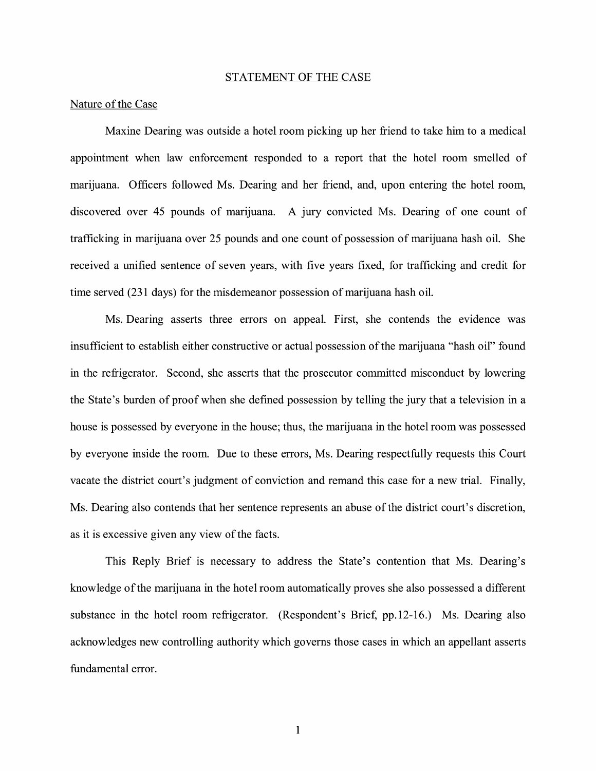#### STATEMENT OF THE CASE

#### Nature of the Case

Maxine Dearing was outside a hotel room picking up her friend to take him to a medical appointment when law enforcement responded to a report that the hotel room smelled of marijuana. Officers followed Ms. Dearing and her friend, and, upon entering the hotel room, discovered over 45 pounds of marijuana. A jury convicted Ms. Dearing of one count of trafficking in marijuana over 25 pounds and one count of possession of marijuana hash oil. She received a unified sentence of seven years, with five years fixed, for trafficking and credit for time served (231 days) for the misdemeanor possession of marijuana hash oil.

Ms. Dearing asserts three errors on appeal. First, she contends the evidence was insufficient to establish either constructive or actual possession of the marijuana "hash oil" found in the refrigerator. Second, she asserts that the prosecutor committed misconduct by lowering the State's burden of proof when she defined possession by telling the jury that a television in a house is possessed by everyone in the house; thus, the marijuana in the hotel room was possessed by everyone inside the room. Due to these errors, Ms. Dearing respectfully requests this Court vacate the district court's judgment of conviction and remand this case for a new trial. Finally, Ms. Dearing also contends that her sentence represents an abuse of the district court's discretion, as it is excessive given any view of the facts.

This Reply Brief is necessary to address the State's contention that Ms. Dearing's knowledge of the marijuana in the hotel room automatically proves she also possessed a different substance in the hotel room refrigerator. (Respondent's Brief, pp.12-16.) Ms. Dearing also acknowledges new controlling authority which governs those cases in which an appellant asserts fundamental error.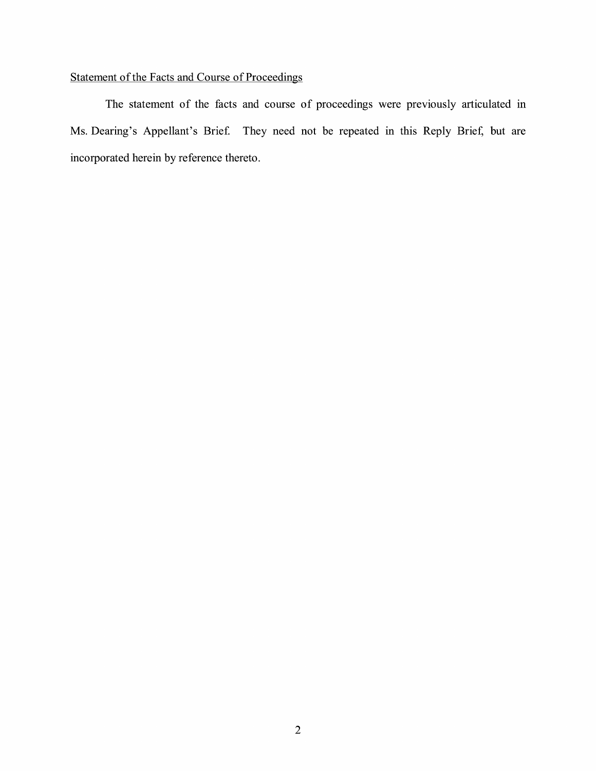# Statement of the Facts and Course of Proceedings

The statement of the facts and course of proceedings were previously articulated in Ms. Dearing's Appellant's Brief. They need not be repeated in this Reply Brief, but are incorporated herein by reference thereto.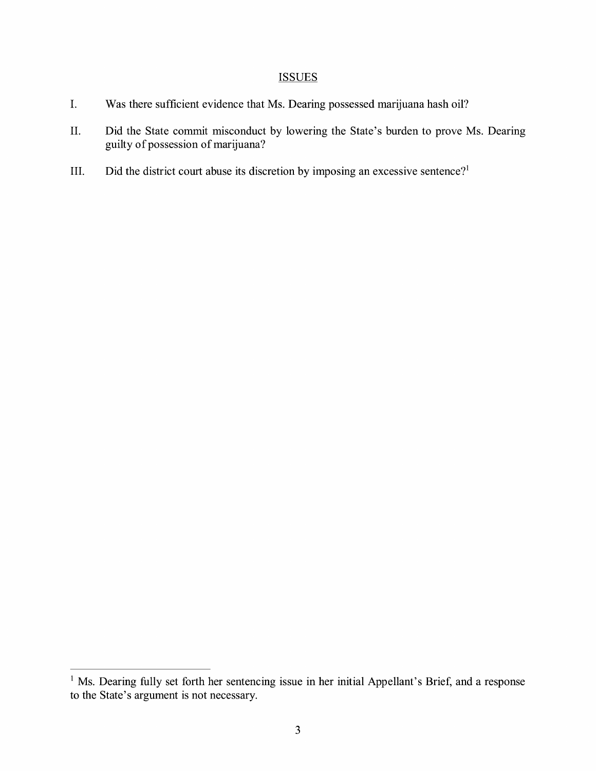## **ISSUES**

- I. Was there sufficient evidence that Ms. Dearing possessed marijuana hash oil?
- II. Did the State commit misconduct by lowering the State's burden to prove Ms. Dearing guilty of possession of marijuana?
- III. Did the district court abuse its discretion by imposing an excessive sentence?<sup>1</sup>

<sup>&</sup>lt;sup>1</sup> Ms. Dearing fully set forth her sentencing issue in her initial Appellant's Brief, and a response to the State's argument is not necessary.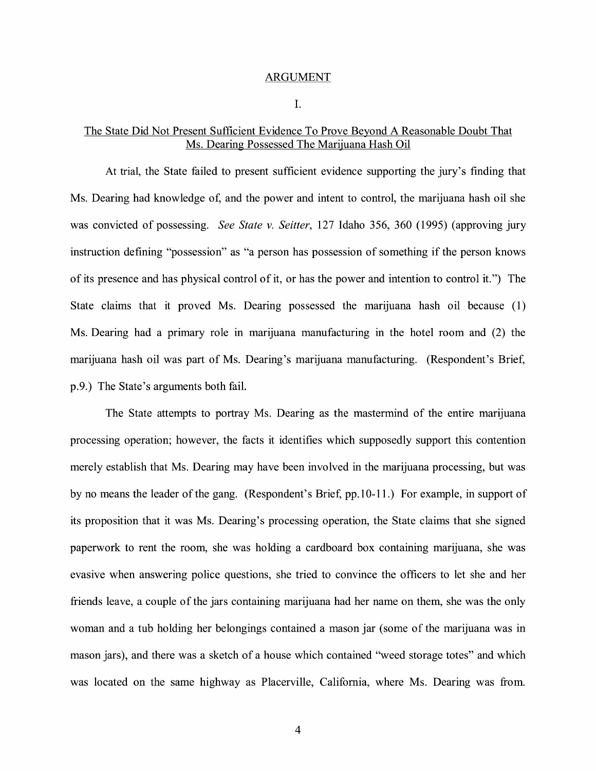#### ARGUMENT

I.

### The State Did Not Present Sufficient Evidence To Prove Beyond A Reasonable Doubt That Ms. Dearing Possessed The Marijuana Hash Oil

At trial, the State failed to present sufficient evidence supporting the jury's finding that Ms. Dearing had knowledge of, and the power and intent to control, the marijuana hash oil she was convicted of possessing. *See State v. Seitter,* 127 Idaho 356, 360 (1995) (approving jury instruction defining "possession" as "a person has possession of something if the person knows of its presence and has physical control of it, or has the power and intention to control it.") The State claims that it proved Ms. Dearing possessed the marijuana hash oil because (1) Ms. Dearing had a primary role in marijuana manufacturing in the hotel room and (2) the marijuana hash oil was part of Ms. Dearing's marijuana manufacturing. (Respondent's Brief, p.9.) The State's arguments both fail.

The State attempts to portray Ms. Dearing as the mastermind of the entire marijuana processing operation; however, the facts it identifies which supposedly support this contention merely establish that Ms. Dearing may have been involved in the marijuana processing, but was by no means the leader of the gang. (Respondent's Brief, pp.10-11.) For example, in support of its proposition that it was Ms. Dearing's processing operation, the State claims that she signed paperwork to rent the room, she was holding a cardboard box containing marijuana, she was evasive when answering police questions, she tried to convince the officers to let she and her friends leave, a couple of the jars containing marijuana had her name on them, she was the only woman and a tub holding her belongings contained a mason jar (some of the marijuana was in mason jars), and there was a sketch of a house which contained "weed storage totes" and which was located on the same highway as Placerville, California, where Ms. Dearing was from.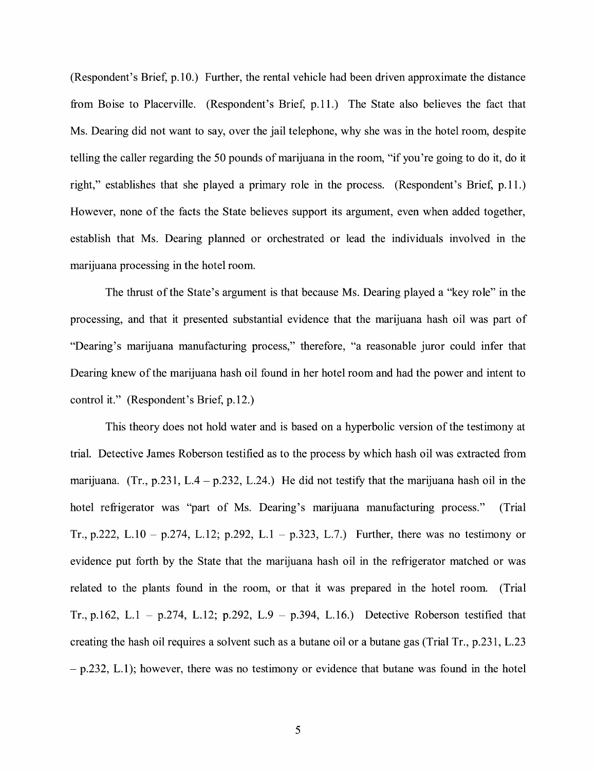(Respondent's Brief, p.10.) Further, the rental vehicle had been driven approximate the distance from Boise to Placerville. (Respondent's Brief, p.11.) The State also believes the fact that Ms. Dearing did not want to say, over the jail telephone, why she was in the hotel room, despite telling the caller regarding the 50 pounds of marijuana in the room, "if you 're going to do it, do it right," establishes that she played a primary role in the process. (Respondent's Brief, p.11.) However, none of the facts the State believes support its argument, even when added together, establish that Ms. Dearing planned or orchestrated or lead the individuals involved in the marijuana processing in the hotel room.

The thrust of the State's argument is that because Ms. Dearing played a "key role" in the processing, and that it presented substantial evidence that the marijuana hash oil was part of "Dearing's marijuana manufacturing process," therefore, "a reasonable juror could infer that Dearing knew of the marijuana hash oil found in her hotel room and had the power and intent to control it." (Respondent's Brief, p.12.)

This theory does not hold water and is based on a hyperbolic version of the testimony at trial. Detective James Roberson testified as to the process by which hash oil was extracted from marijuana. (Tr., p.231, L.4 – p.232, L.24.) He did not testify that the marijuana hash oil in the hotel refrigerator was "part of Ms. Dearing's marijuana manufacturing process." (Trial Tr., p.222, L.10 – p.274, L.12; p.292, L.1 – p.323, L.7.) Further, there was no testimony or evidence put forth by the State that the marijuana hash oil in the refrigerator matched or was related to the plants found in the room, or that it was prepared in the hotel room. (Trial Tr., p.162, L.1 - p.274, L.12; p.292, L.9 - p.394, L.16.) Detective Roberson testified that creating the hash oil requires a solvent such as a butane oil or a butane gas (Trial Tr., p.231, L.23  $-$  p.232, L.1); however, there was no testimony or evidence that butane was found in the hotel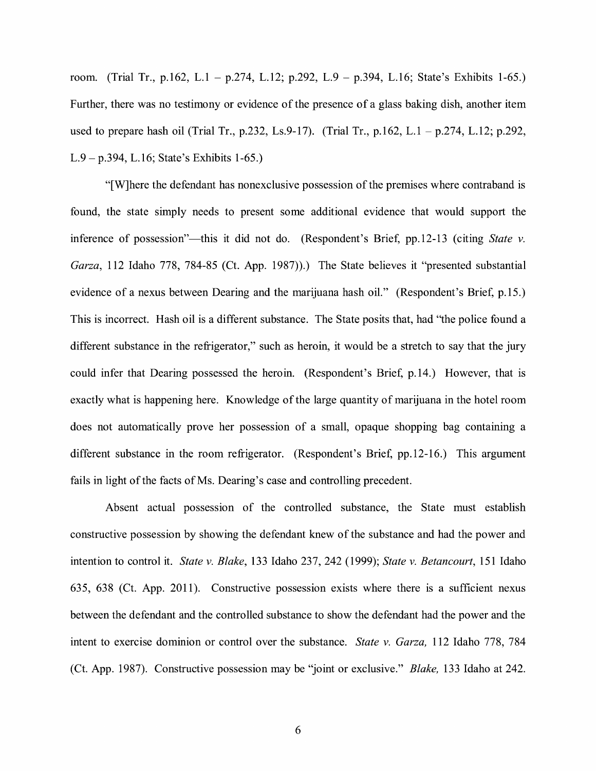room. (Trial Tr., p.162, L.1 - p.274, L.12; p.292, L.9 - p.394, L.16; State's Exhibits 1-65.) Further, there was no testimony or evidence of the presence of a glass baking dish, another item used to prepare hash oil (Trial Tr., p.232, Ls.9-17). (Trial Tr., p.162, L.1 – p.274, L.12; p.292, L.9 - p.394, L.16; State's Exhibits 1-65.)

"[W]here the defendant has nonexclusive possession of the premises where contraband is found, the state simply needs to present some additional evidence that would support the inference of possession"—this it did not do. (Respondent's Brief, pp.12-13 (citing *State v. Garza,* 112 Idaho 778, 784-85 (Ct. App. 1987)).) The State believes it "presented substantial evidence of a nexus between Dearing and the marijuana hash oil." (Respondent's Brief, p.15.) This is incorrect. Hash oil is a different substance. The State posits that, had "the police found a different substance in the refrigerator," such as heroin, it would be a stretch to say that the jury could infer that Dearing possessed the heroin. (Respondent's Brief, p.14.) However, that is exactly what is happening here. Knowledge of the large quantity of marijuana in the hotel room does not automatically prove her possession of a small, opaque shopping bag containing a different substance in the room refrigerator. (Respondent's Brief, pp.12-16.) This argument fails in light of the facts of Ms. Dearing's case and controlling precedent.

Absent actual possession of the controlled substance, the State must establish constructive possession by showing the defendant knew of the substance and had the power and intention to control it. *State v. Blake,* 133 Idaho 237, 242 (1999); *State v. Betancourt,* 151 Idaho 635, 638 (Ct. App. 2011). Constructive possession exists where there is a sufficient nexus between the defendant and the controlled substance to show the defendant had the power and the intent to exercise dominion or control over the substance. *State v. Garza,* 112 Idaho 778, 784 (Ct. App. 1987). Constructive possession may be "joint or exclusive." *Blake,* 133 Idaho at 242.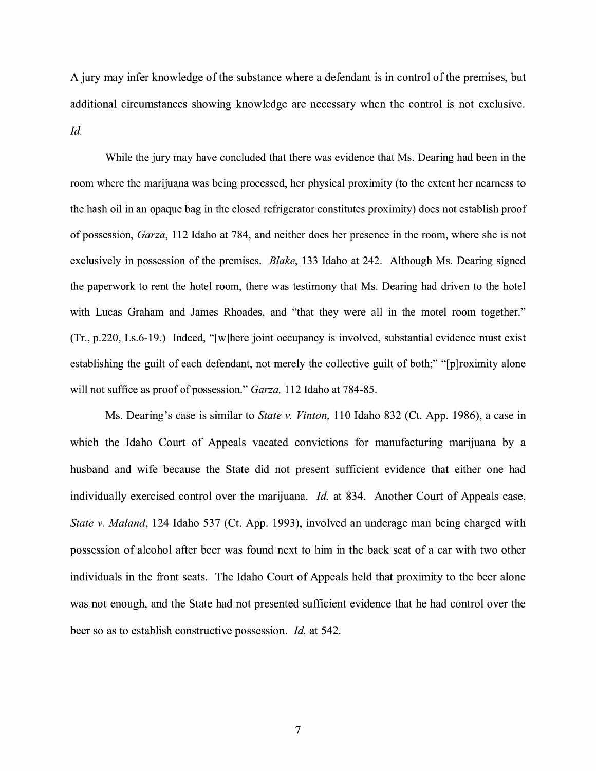A jury may infer knowledge of the substance where a defendant is in control of the premises, but additional circumstances showing knowledge are necessary when the control is not exclusive. *Id.* 

While the jury may have concluded that there was evidence that Ms. Dearing had been in the room where the marijuana was being processed, her physical proximity (to the extent her nearness to the hash oil in an opaque bag in the closed refrigerator constitutes proximity) does not establish proof of possession, *Garza,* 112 Idaho at 784, and neither does her presence in the room, where she is not exclusively in possession of the premises. *Blake,* 133 Idaho at 242. Although Ms. Dearing signed the paperwork to rent the hotel room, there was testimony that Ms. Dearing had driven to the hotel with Lucas Graham and James Rhoades, and "that they were all in the motel room together." (Tr., p.220, Ls.6-19.) Indeed, "[w]here joint occupancy is involved, substantial evidence must exist establishing the guilt of each defendant, not merely the collective guilt of both;" "[p ]roximity alone will not suffice as proof of possession." *Garza,* 112 Idaho at 784-85.

Ms. Dearing's case is similar to *State v. Vinton,* 110 Idaho 832 (Ct. App. 1986), a case in which the Idaho Court of Appeals vacated convictions for manufacturing marijuana by a husband and wife because the State did not present sufficient evidence that either one had individually exercised control over the marijuana. *Id.* at 834. Another Court of Appeals case, *State v. Maland,* 124 Idaho 537 (Ct. App. 1993), involved an underage man being charged with possession of alcohol after beer was found next to him in the back seat of a car with two other individuals in the front seats. The Idaho Court of Appeals held that proximity to the beer alone was not enough, and the State had not presented sufficient evidence that he had control over the beer so as to establish constructive possession. *Id.* at 542.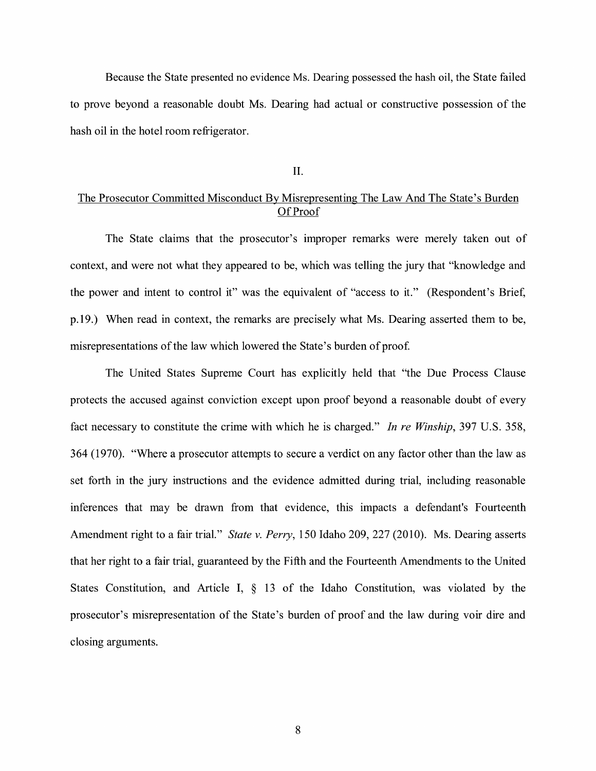Because the State presented no evidence Ms. Dearing possessed the hash oil, the State failed to prove beyond a reasonable doubt Ms. Dearing had actual or constructive possession of the hash oil in the hotel room refrigerator.

II.

### The Prosecutor Committed Misconduct By Misrepresenting The Law And The State's Burden Of Proof

The State claims that the prosecutor's improper remarks were merely taken out of context, and were not what they appeared to be, which was telling the jury that "knowledge and the power and intent to control it" was the equivalent of "access to it." (Respondent's Brief, p.19.) When read in context, the remarks are precisely what Ms. Dearing asserted them to be, misrepresentations of the law which lowered the State's burden of proof

The United States Supreme Court has explicitly held that "the Due Process Clause protects the accused against conviction except upon proof beyond a reasonable doubt of every fact necessary to constitute the crime with which he is charged." *In re Winship,* 397 U.S. 358, 364 (1970). "Where a prosecutor attempts to secure a verdict on any factor other than the law as set forth in the jury instructions and the evidence admitted during trial, including reasonable inferences that may be drawn from that evidence, this impacts a defendant's Fourteenth Amendment right to a fair trial." *State v. Perry,* 150 Idaho 209, 227 (2010). Ms. Dearing asserts that her right to a fair trial, guaranteed by the Fifth and the Fourteenth Amendments to the United States Constitution, and Article I, § 13 of the Idaho Constitution, was violated by the prosecutor's misrepresentation of the State's burden of proof and the law during voir dire and closing arguments.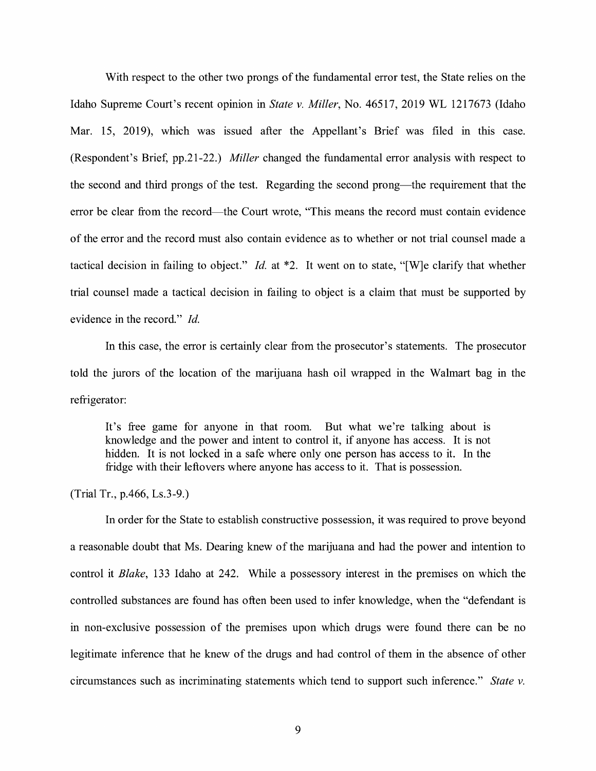With respect to the other two prongs of the fundamental error test, the State relies on the Idaho Supreme Court's recent opinion in *State v. Miller,* No. 46517, 2019 WL 1217673 (Idaho Mar. 15, 2019), which was issued after the Appellant's Brief was filed in this case. (Respondent's Brief, pp.21-22.) *Miller* changed the fundamental error analysis with respect to the second and third prongs of the test. Regarding the second prong-the requirement that the error be clear from the record—the Court wrote, "This means the record must contain evidence of the error and the record must also contain evidence as to whether or not trial counsel made a tactical decision in failing to object." *Id.* at \*2. It went on to state, "[W]e clarify that whether trial counsel made a tactical decision in failing to object is a claim that must be supported by evidence in the record." *Id.* 

In this case, the error is certainly clear from the prosecutor's statements. The prosecutor told the jurors of the location of the marijuana hash oil wrapped in the Walmart bag in the refrigerator:

It's free game for anyone in that room. But what we're talking about is knowledge and the power and intent to control it, if anyone has access. It is not hidden. It is not locked in a safe where only one person has access to it. In the fridge with their leftovers where anyone has access to it. That is possession.

(Trial Tr., p.466, Ls.3-9.)

In order for the State to establish constructive possession, it was required to prove beyond a reasonable doubt that Ms. Dearing knew of the marijuana and had the power and intention to control it *Blake,* 133 Idaho at 242. While a possessory interest in the premises on which the controlled substances are found has often been used to infer knowledge, when the "defendant is in non-exclusive possession of the premises upon which drugs were found there can be no legitimate inference that he knew of the drugs and had control of them in the absence of other circumstances such as incriminating statements which tend to support such inference." *State v.*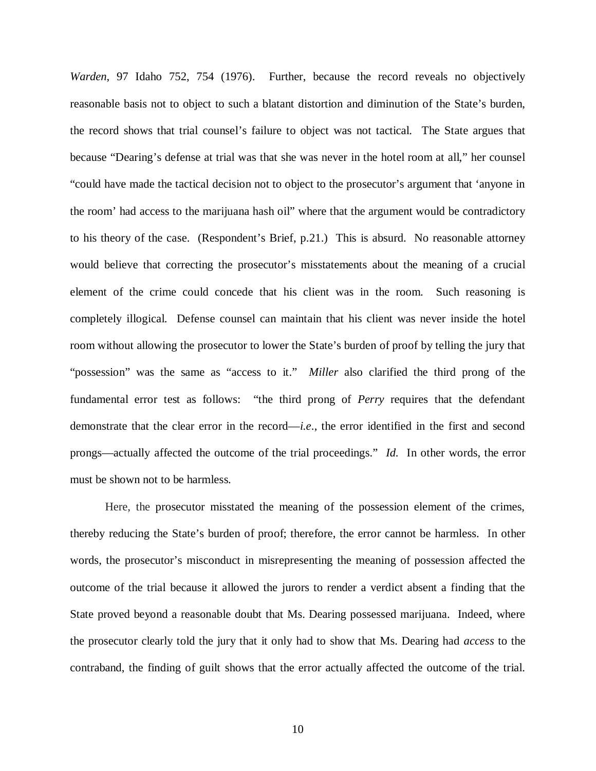*Warden*, 97 Idaho 752, 754 (1976). Further, because the record reveals no objectively reasonable basis not to object to such a blatant distortion and diminution of the State's burden, the record shows that trial counsel's failure to object was not tactical. The State argues that because "Dearing's defense at trial was that she was never in the hotel room at all," her counsel "could have made the tactical decision not to object to the prosecutor's argument that 'anyone in the room' had access to the marijuana hash oil" where that the argument would be contradictory to his theory of the case. (Respondent's Brief, p.21.) This is absurd. No reasonable attorney would believe that correcting the prosecutor's misstatements about the meaning of a crucial element of the crime could concede that his client was in the room. Such reasoning is completely illogical. Defense counsel can maintain that his client was never inside the hotel room without allowing the prosecutor to lower the State's burden of proof by telling the jury that "possession" was the same as "access to it." *Miller* also clarified the third prong of the fundamental error test as follows: "the third prong of *Perry* requires that the defendant demonstrate that the clear error in the record—*i.e*., the error identified in the first and second prongs—actually affected the outcome of the trial proceedings." *Id.* In other words, the error must be shown not to be harmless.

Here, the prosecutor misstated the meaning of the possession element of the crimes, thereby reducing the State's burden of proof; therefore, the error cannot be harmless. In other words, the prosecutor's misconduct in misrepresenting the meaning of possession affected the outcome of the trial because it allowed the jurors to render a verdict absent a finding that the State proved beyond a reasonable doubt that Ms. Dearing possessed marijuana. Indeed, where the prosecutor clearly told the jury that it only had to show that Ms. Dearing had *access* to the contraband, the finding of guilt shows that the error actually affected the outcome of the trial.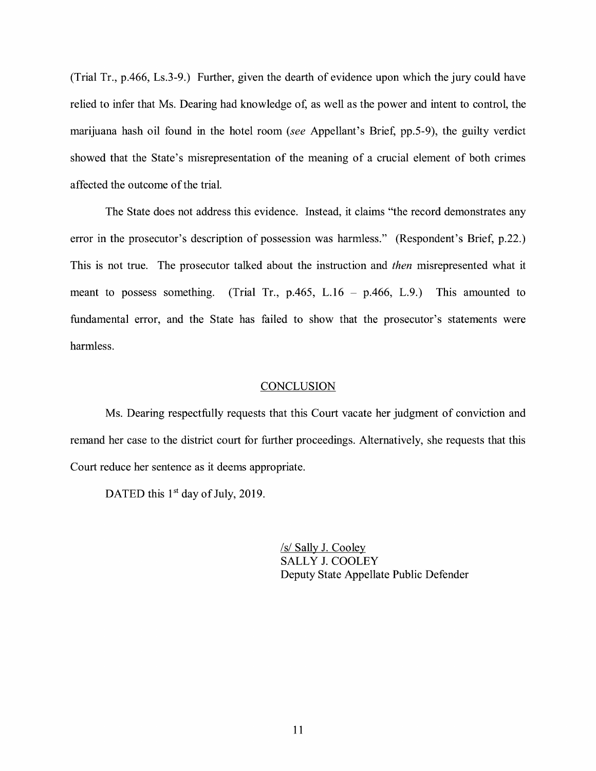(Trial Tr., p.466, Ls.3-9.) Further, given the dearth of evidence upon which the jury could have relied to infer that Ms. Dearing had knowledge of, as well as the power and intent to control, the marijuana hash oil found in the hotel room *(see* Appellant's Brief, pp.5-9), the guilty verdict showed that the State's misrepresentation of the meaning of a crucial element of both crimes affected the outcome of the trial.

The State does not address this evidence. Instead, it claims "the record demonstrates any error in the prosecutor's description of possession was harmless." (Respondent's Brief, p.22.) This is not true. The prosecutor talked about the instruction and *then* misrepresented what it meant to possess something. (Trial Tr.,  $p.465$ , L.16 -  $p.466$ , L.9.) This amounted to fundamental error, and the State has failed to show that the prosecutor's statements were harmless.

#### **CONCLUSION**

Ms. Dearing respectfully requests that this Court vacate her judgment of conviction and remand her case to the district court for further proceedings. Alternatively, she requests that this Court reduce her sentence as it deems appropriate.

DATED this  $1<sup>st</sup>$  day of July, 2019.

/s/ Sally J. Cooley SALLY J. COOLEY Deputy State Appellate Public Defender